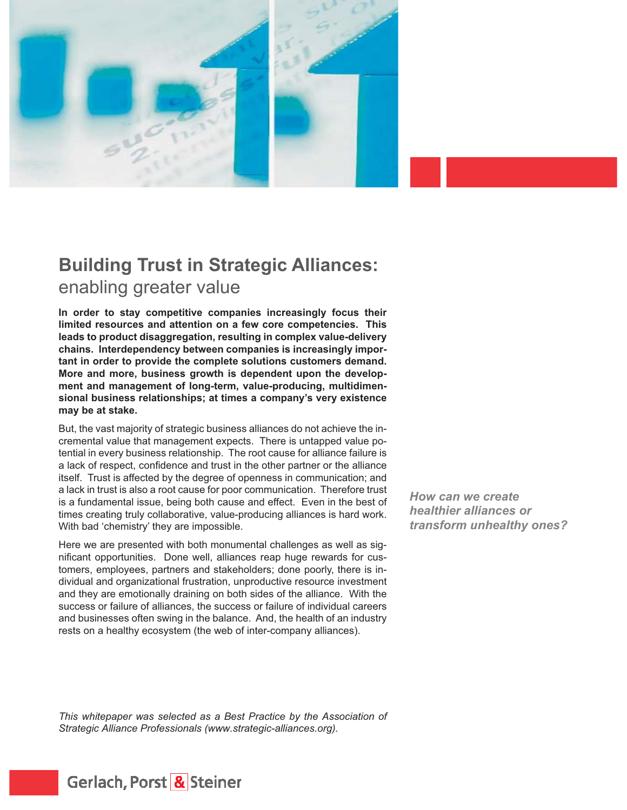

**In order to stay competitive companies increasingly focus their limited resources and attention on a few core competencies. This leads to product disaggregation, resulting in complex value-delivery chains. Interdependency between companies is increasingly important in order to provide the complete solutions customers demand. More and more, business growth is dependent upon the development and management of long-term, value-producing, multidimensional business relationships; at times a company's very existence may be at stake.**

But, the vast majority of strategic business alliances do not achieve the incremental value that management expects. There is untapped value potential in every business relationship. The root cause for alliance failure is a lack of respect, confidence and trust in the other partner or the alliance itself. Trust is affected by the degree of openness in communication; and a lack in trust is also a root cause for poor communication. Therefore trust is a fundamental issue, being both cause and effect. Even in the best of times creating truly collaborative, value-producing alliances is hard work. With bad 'chemistry' they are impossible.

Here we are presented with both monumental challenges as well as significant opportunities. Done well, alliances reap huge rewards for customers, employees, partners and stakeholders; done poorly, there is individual and organizational frustration, unproductive resource investment and they are emotionally draining on both sides of the alliance. With the success or failure of alliances, the success or failure of individual careers and businesses often swing in the balance. And, the health of an industry rests on a healthy ecosystem (the web of inter-company alliances).

*How can we create healthier alliances or transform unhealthy ones?*

*This whitepaper was selected as a Best Practice by the Association of Strategic Alliance Professionals (www.strategic-alliances.org).*

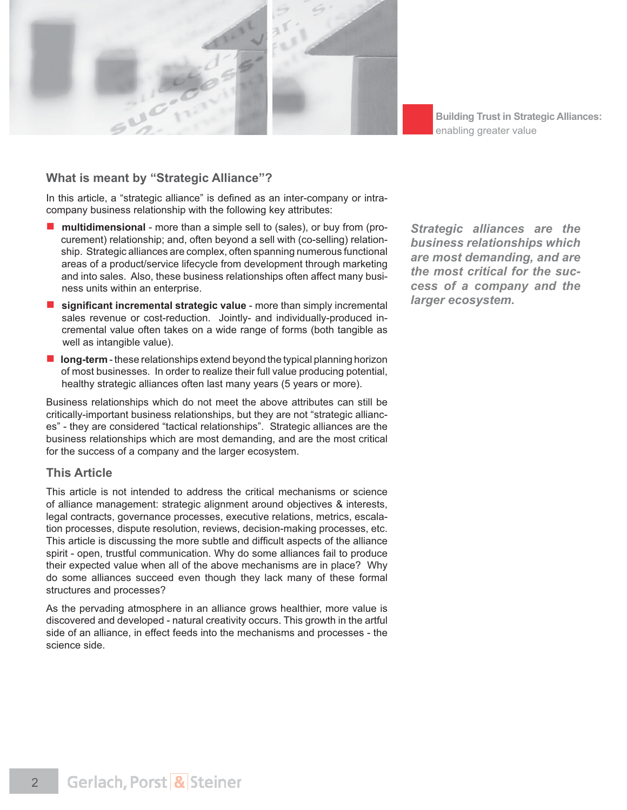

### **What is meant by "Strategic Alliance"?**

In this article, a "strategic alliance" is defined as an inter-company or intracompany business relationship with the following key attributes:

- **multidimensional** more than a simple sell to (sales), or buy from (pro curement) relationship; and, often beyond a sell with (co-selling) relation ship. Strategic alliances are complex, often spanning numerous functional areas of a product/service lifecycle from development through marketing and into sales. Also, these business relationships often affect many busi ness units within an enterprise.
- **E** significant incremental strategic value more than simply incremental sales revenue or cost-reduction. Jointly- and individually-produced in cremental value often takes on a wide range of forms (both tangible as well as intangible value).
- **long-term** these relationships extend beyond the typical planning horizon of most businesses. In order to realize their full value producing potential, healthy strategic alliances often last many years (5 years or more).

Business relationships which do not meet the above attributes can still be critically-important business relationships, but they are not "strategic alliances" - they are considered "tactical relationships". Strategic alliances are the business relationships which are most demanding, and are the most critical for the success of a company and the larger ecosystem.

#### **This Article**

This article is not intended to address the critical mechanisms or science of alliance management: strategic alignment around objectives & interests, legal contracts, governance processes, executive relations, metrics, escalation processes, dispute resolution, reviews, decision-making processes, etc. This article is discussing the more subtle and difficult aspects of the alliance spirit - open, trustful communication. Why do some alliances fail to produce their expected value when all of the above mechanisms are in place? Why do some alliances succeed even though they lack many of these formal structures and processes?

As the pervading atmosphere in an alliance grows healthier, more value is discovered and developed - natural creativity occurs. This growth in the artful side of an alliance, in effect feeds into the mechanisms and processes - the science side.

*Strategic alliances are the business relationships which are most demanding, and are the most critical for the success of a company and the larger ecosystem.*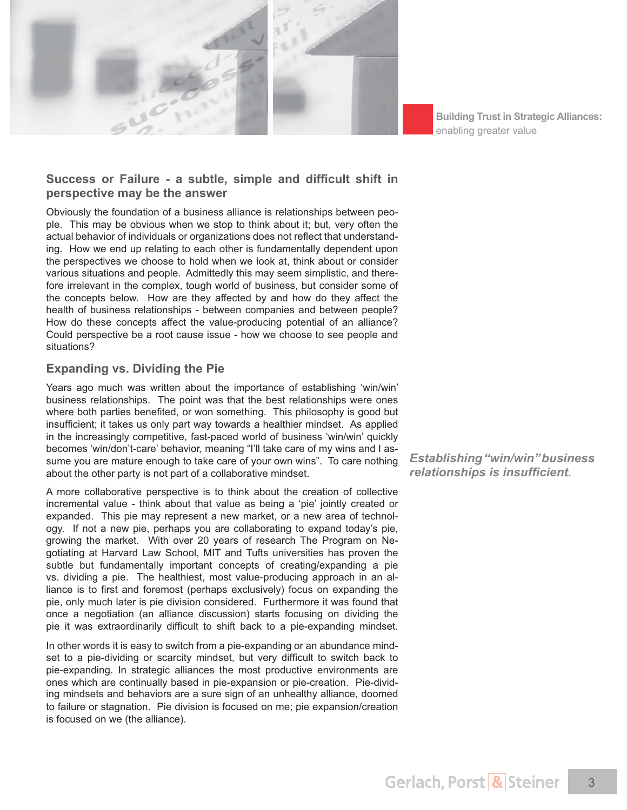

# Success or Failure - a subtle, simple and difficult shift in **perspective may be the answer**

Obviously the foundation of a business alliance is relationships between people. This may be obvious when we stop to think about it; but, very often the actual behavior of individuals or organizations does not reflect that understanding. How we end up relating to each other is fundamentally dependent upon the perspectives we choose to hold when we look at, think about or consider various situations and people. Admittedly this may seem simplistic, and therefore irrelevant in the complex, tough world of business, but consider some of the concepts below. How are they affected by and how do they affect the health of business relationships - between companies and between people? How do these concepts affect the value-producing potential of an alliance? Could perspective be a root cause issue - how we choose to see people and situations?

### **Expanding vs. Dividing the Pie**

Years ago much was written about the importance of establishing 'win/win' business relationships. The point was that the best relationships were ones where both parties benefited, or won something. This philosophy is good but insufficient; it takes us only part way towards a healthier mindset. As applied in the increasingly competitive, fast-paced world of business 'win/win' quickly becomes 'win/don't-care' behavior, meaning "I'll take care of my wins and I assume you are mature enough to take care of your own wins". To care nothing about the other party is not part of a collaborative mindset.

A more collaborative perspective is to think about the creation of collective incremental value - think about that value as being a 'pie' jointly created or expanded. This pie may represent a new market, or a new area of technology. If not a new pie, perhaps you are collaborating to expand today's pie, growing the market. With over 20 years of research The Program on Negotiating at Harvard Law School, MIT and Tufts universities has proven the subtle but fundamentally important concepts of creating/expanding a pie vs. dividing a pie. The healthiest, most value-producing approach in an alliance is to first and foremost (perhaps exclusively) focus on expanding the pie, only much later is pie division considered. Furthermore it was found that once a negotiation (an alliance discussion) starts focusing on dividing the pie it was extraordinarily difficult to shift back to a pie-expanding mindset.

In other words it is easy to switch from a pie-expanding or an abundance mindset to a pie-dividing or scarcity mindset, but very difficult to switch back to pie-expanding. In strategic alliances the most productive environments are ones which are continually based in pie-expansion or pie-creation. Pie-dividing mindsets and behaviors are a sure sign of an unhealthy alliance, doomed to failure or stagnation. Pie division is focused on me; pie expansion/creation is focused on we (the alliance).

*Establishing "win/win" business*   $relationships$  is insufficient.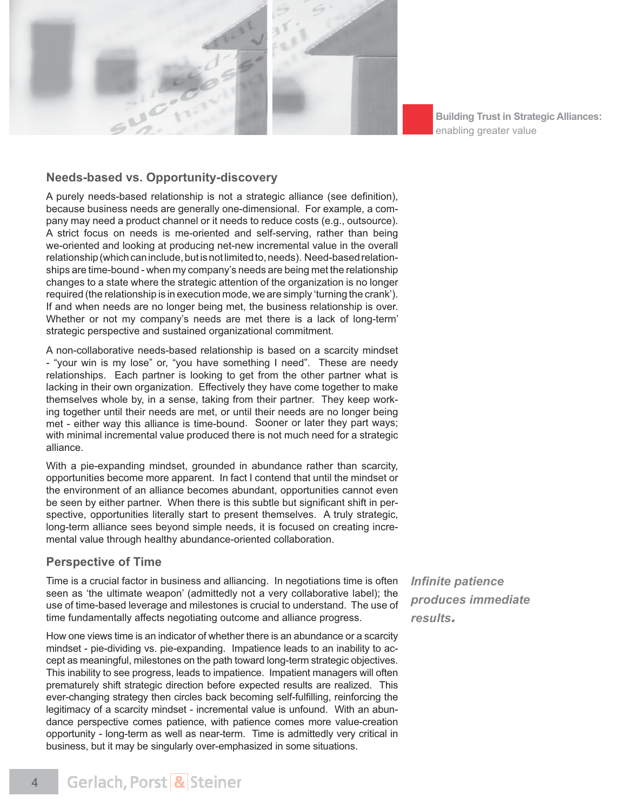

### **Needs-based vs. Opportunity-discovery**

A purely needs-based relationship is not a strategic alliance (see definition), because business needs are generally one-dimensional. For example, a company may need a product channel or it needs to reduce costs (e.g., outsource). A strict focus on needs is me-oriented and self-serving, rather than being we-oriented and looking at producing net-new incremental value in the overall relationship (which can include, but is not limited to, needs). Need-based relationships are time-bound - when my company's needs are being met the relationship changes to a state where the strategic attention of the organization is no longer required (the relationship is in execution mode, we are simply 'turning the crank'). If and when needs are no longer being met, the business relationship is over. Whether or not my company's needs are met there is a lack of long-term' strategic perspective and sustained organizational commitment.

A non-collaborative needs-based relationship is based on a scarcity mindset - "your win is my lose" or, "you have something I need". These are needy relationships. Each partner is looking to get from the other partner what is lacking in their own organization. Effectively they have come together to make themselves whole by, in a sense, taking from their partner. They keep working together until their needs are met, or until their needs are no longer being met - either way this alliance is time-bound. Sooner or later they part ways; with minimal incremental value produced there is not much need for a strategic alliance.

With a pie-expanding mindset, grounded in abundance rather than scarcity, opportunities become more apparent. In fact I contend that until the mindset or the environment of an alliance becomes abundant, opportunities cannot even be seen by either partner. When there is this subtle but significant shift in perspective, opportunities literally start to present themselves. A truly strategic, long-term alliance sees beyond simple needs, it is focused on creating incremental value through healthy abundance-oriented collaboration.

#### **Perspective of Time**

Time is a crucial factor in business and alliancing. In negotiations time is often seen as 'the ultimate weapon' (admittedly not a very collaborative label); the use of time-based leverage and milestones is crucial to understand. The use of time fundamentally affects negotiating outcome and alliance progress.

How one views time is an indicator of whether there is an abundance or a scarcity mindset - pie-dividing vs. pie-expanding. Impatience leads to an inability to accept as meaningful, milestones on the path toward long-term strategic objectives. This inability to see progress, leads to impatience. Impatient managers will often prematurely shift strategic direction before expected results are realized. This ever-changing strategy then circles back becoming self-fulfilling, reinforcing the legitimacy of a scarcity mindset - incremental value is unfound. With an abundance perspective comes patience, with patience comes more value-creation opportunity - long-term as well as near-term. Time is admittedly very critical in business, but it may be singularly over-emphasized in some situations.

*Infinite patience produces immediate results.*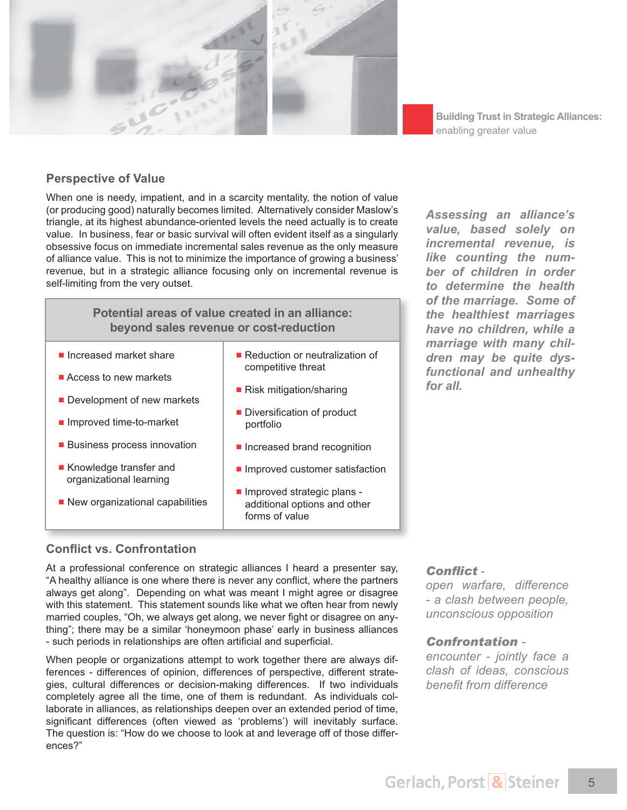

### **Perspective of Value**

When one is needy, impatient, and in a scarcity mentality, the notion of value (or producing good) naturally becomes limited. Alternatively consider Maslow's triangle, at its highest abundance-oriented levels the need actually is to create value. In business, fear or basic survival will often evident itself as a singularly obsessive focus on immediate incremental sales revenue as the only measure of alliance value. This is not to minimize the importance of growing a business' revenue, but in a strategic alliance focusing only on incremental revenue is self-limiting from the very outset.

|  | Potential areas of value created in an alliance:<br>beyond sales revenue or cost-reduction |                                                                              |
|--|--------------------------------------------------------------------------------------------|------------------------------------------------------------------------------|
|  | lncreased market share                                                                     | ■ Reduction or neutralization of<br>competitive threat                       |
|  | $\blacksquare$ Access to new markets                                                       |                                                                              |
|  | Development of new markets                                                                 | $\blacksquare$ Risk mitigation/sharing                                       |
|  | ■ Improved time-to-market                                                                  | • Diversification of product<br>portfolio                                    |
|  | <b>Business process innovation</b>                                                         | Increased brand recognition                                                  |
|  | ■ Knowledge transfer and<br>organizational learning                                        | Improved customer satisfaction                                               |
|  | New organizational capabilities                                                            | Improved strategic plans -<br>additional options and other<br>forms of value |

# **Conflict vs. Confrontation**

At a professional conference on strategic alliances I heard a presenter say, "A healthy alliance is one where there is never any conflict, where the partners always get along". Depending on what was meant I might agree or disagree with this statement. This statement sounds like what we often hear from newly married couples, "Oh, we always get along, we never fight or disagree on anything"; there may be a similar 'honeymoon phase' early in business alliances - such periods in relationships are often artificial and superficial.

When people or organizations attempt to work together there are always differences - differences of opinion, differences of perspective, different strategies, cultural differences or decision-making differences. If two individuals completely agree all the time, one of them is redundant. As individuals collaborate in alliances, as relationships deepen over an extended period of time, significant differences (often viewed as 'problems') will inevitably surface. The question is: "How do we choose to look at and leverage off of those differences?"

Conflict -

*open warfare, difference - a clash between people, unconscious opposition*

### **Confrontation -**

*encounter - jointly face a clash of ideas, conscious benefit from difference* 

*Assessing an alliance's value, based solely on incremental revenue, is like counting the number of children in order to determine the health of the marriage. Some of the healthiest marriages have no children, while a marriage with many children may be quite dysfunctional and unhealthy for all.*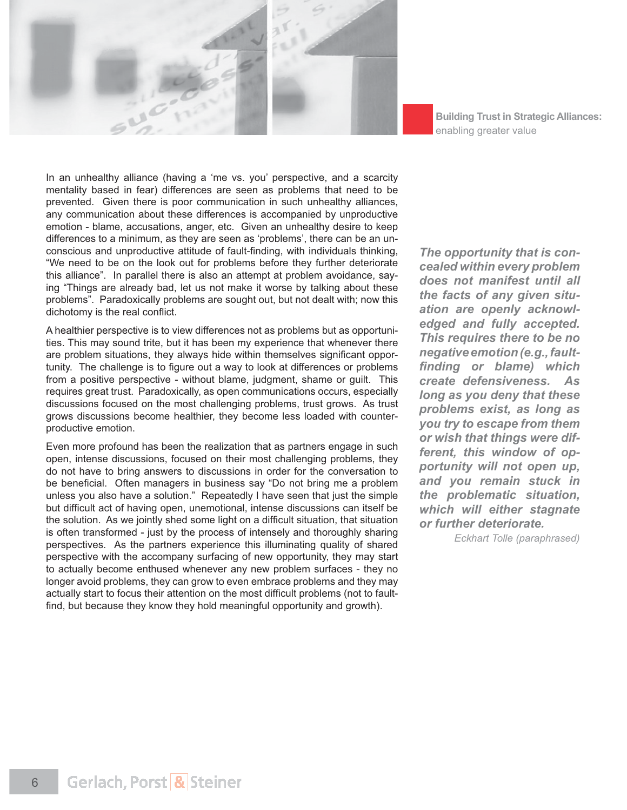

**Building Trust in Strategic Alliances:** enabling greater value

In an unhealthy alliance (having a 'me vs. you' perspective, and a scarcity mentality based in fear) differences are seen as problems that need to be prevented. Given there is poor communication in such unhealthy alliances, any communication about these differences is accompanied by unproductive emotion - blame, accusations, anger, etc. Given an unhealthy desire to keep differences to a minimum, as they are seen as 'problems', there can be an unconscious and unproductive attitude of fault-finding, with individuals thinking, "We need to be on the look out for problems before they further deteriorate this alliance". In parallel there is also an attempt at problem avoidance, saying "Things are already bad, let us not make it worse by talking about these problems". Paradoxically problems are sought out, but not dealt with; now this dichotomy is the real conflict.

A healthier perspective is to view differences not as problems but as opportunities. This may sound trite, but it has been my experience that whenever there are problem situations, they always hide within themselves significant opportunity. The challenge is to figure out a way to look at differences or problems from a positive perspective - without blame, judgment, shame or guilt. This requires great trust. Paradoxically, as open communications occurs, especially discussions focused on the most challenging problems, trust grows. As trust grows discussions become healthier, they become less loaded with counterproductive emotion.

Even more profound has been the realization that as partners engage in such open, intense discussions, focused on their most challenging problems, they do not have to bring answers to discussions in order for the conversation to be beneficial. Often managers in business say "Do not bring me a problem unless you also have a solution." Repeatedly I have seen that just the simple but difficult act of having open, unemotional, intense discussions can itself be the solution. As we jointly shed some light on a difficult situation, that situation is often transformed - just by the process of intensely and thoroughly sharing perspectives. As the partners experience this illuminating quality of shared perspective with the accompany surfacing of new opportunity, they may start to actually become enthused whenever any new problem surfaces - they no longer avoid problems, they can grow to even embrace problems and they may actually start to focus their attention on the most difficult problems (not to faultfind, but because they know they hold meaningful opportunity and growth).

*The opportunity that is concealed within every problem does not manifest until all the facts of any given situation are openly acknowledged and fully accepted. This requires there to be no negative emotion (e.g., fault finding or blame) which create defensiveness. As long as you deny that these problems exist, as long as you try to escape from them or wish that things were different, this window of opportunity will not open up, and you remain stuck in the problematic situation, which will either stagnate or further deteriorate.*

*Eckhart Tolle (paraphrased)*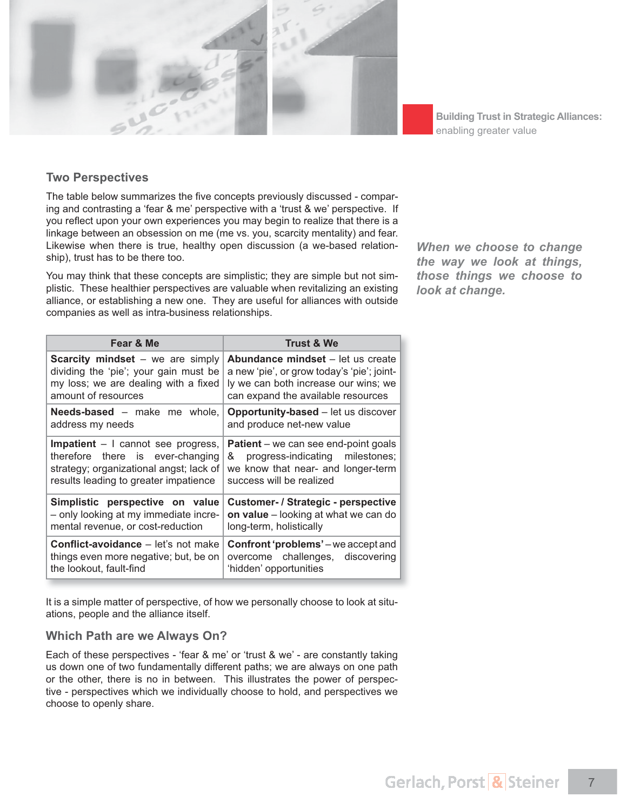

### **Two Perspectives**

The table below summarizes the five concepts previously discussed - comparing and contrasting a 'fear & me' perspective with a 'trust & we' perspective. If you reflect upon your own experiences you may begin to realize that there is a linkage between an obsession on me (me vs. you, scarcity mentality) and fear. Likewise when there is true, healthy open discussion (a we-based relationship), trust has to be there too.

You may think that these concepts are simplistic; they are simple but not simplistic. These healthier perspectives are valuable when revitalizing an existing alliance, or establishing a new one. They are useful for alliances with outside companies as well as intra-business relationships.

**Fear & Me Trust & We Scarcity mindset** – we are simply dividing the 'pie'; your gain must be my loss; we are dealing with a fixed amount of resources **Abundance mindset** – let us create a new 'pie', or grow today's 'pie'; jointly we can both increase our wins; we can expand the available resources **Needs-based** – make me whole, address my needs **Opportunity-based** – let us discover and produce net-new value **Impatient** – I cannot see progress, therefore there is ever-changing strategy; organizational angst; lack of results leading to greater impatience **Patient** – we can see end-point goals & progress-indicating milestones; we know that near- and longer-term success will be realized **Simplistic perspective on value** – only looking at my immediate incremental revenue, or cost-reduction **Customer- / Strategic - perspective on value** – looking at what we can do long-term, holistically **Conflict-avoidance – let's not make** things even more negative; but, be on the lookout, fault-find **Confront 'problems'** – we accept and overcome challenges, discovering 'hidden' opportunities

It is a simple matter of perspective, of how we personally choose to look at situations, people and the alliance itself.

### **Which Path are we Always On?**

Each of these perspectives - 'fear & me' or 'trust & we' - are constantly taking us down one of two fundamentally different paths; we are always on one path or the other, there is no in between. This illustrates the power of perspective - perspectives which we individually choose to hold, and perspectives we choose to openly share.

*When we choose to change the way we look at things, those things we choose to look at change.*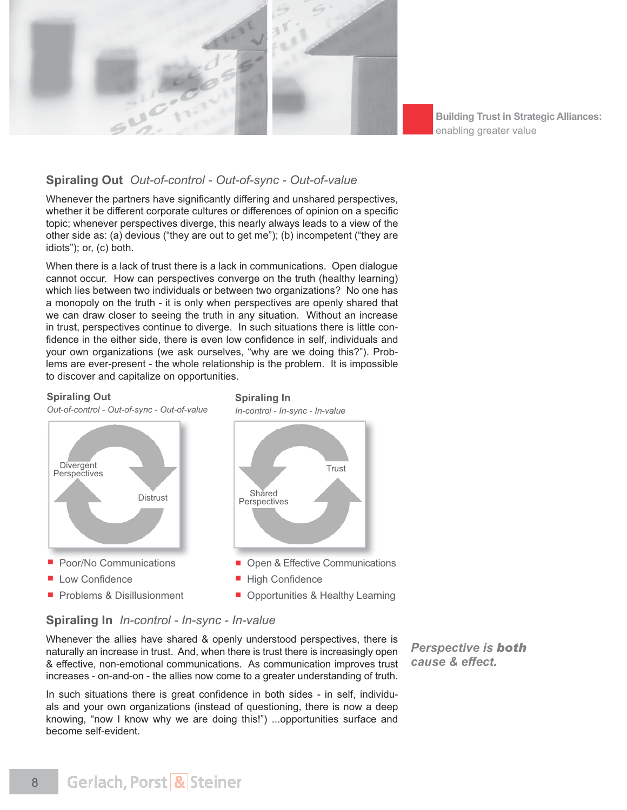

# **Spiraling Out** *Out-of-control - Out-of-sync - Out-of-value*

Whenever the partners have significantly differing and unshared perspectives, whether it be different corporate cultures or differences of opinion on a specific topic; whenever perspectives diverge, this nearly always leads to a view of the other side as: (a) devious ("they are out to get me"); (b) incompetent ("they are idiots"); or, (c) both.

When there is a lack of trust there is a lack in communications. Open dialogue cannot occur. How can perspectives converge on the truth (healthy learning) which lies between two individuals or between two organizations? No one has a monopoly on the truth - it is only when perspectives are openly shared that we can draw closer to seeing the truth in any situation. Without an increase in trust, perspectives continue to diverge. In such situations there is little con fidence in the either side, there is even low confidence in self, individuals and your own organizations (we ask ourselves, "why are we doing this?"). Problems are ever-present - the whole relationship is the problem. It is impossible to discover and capitalize on opportunities.

#### **Spiraling Out**

*Out-of-control - Out-of-sync - Out-of-value*



- Low Confidence
- **Problems & Disillusionment**

**Spiraling In** *In-control - In-sync - In-value*



**• Opportunities & Healthy Learning** 

# **Spiraling In** *In-control - In-sync - In-value*

Whenever the allies have shared & openly understood perspectives, there is naturally an increase in trust. And, when there is trust there is increasingly open & effective, non-emotional communications. As communication improves trust increases - on-and-on - the allies now come to a greater understanding of truth.

In such situations there is great confidence in both sides - in self, individuals and your own organizations (instead of questioning, there is now a deep knowing, "now I know why we are doing this!") ...opportunities surface and become self-evident.

**Perspective is both** *cause & effect.*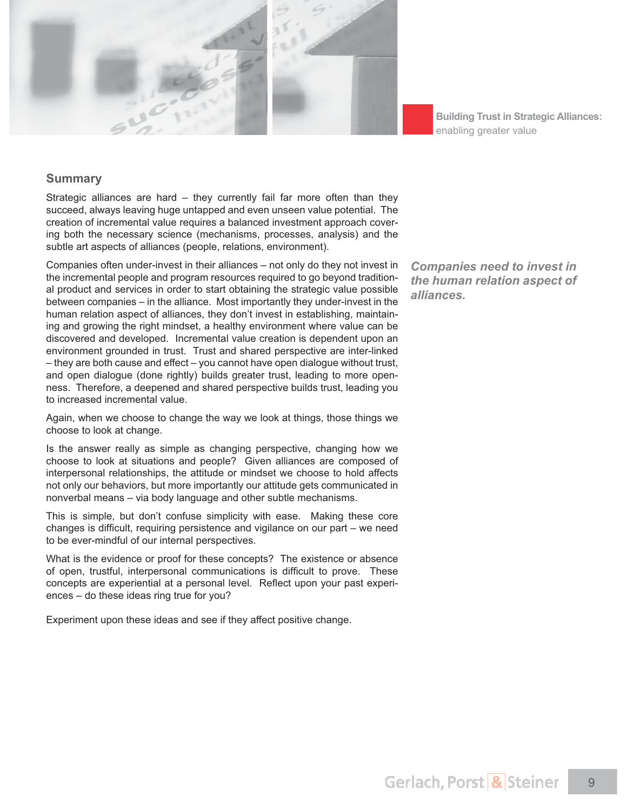

#### **Summary**

Strategic alliances are hard – they currently fail far more often than they succeed, always leaving huge untapped and even unseen value potential. The creation of incremental value requires a balanced investment approach covering both the necessary science (mechanisms, processes, analysis) and the subtle art aspects of alliances (people, relations, environment).

Companies often under-invest in their alliances – not only do they not invest in the incremental people and program resources required to go beyond traditional product and services in order to start obtaining the strategic value possible between companies – in the alliance. Most importantly they under-invest in the human relation aspect of alliances, they don't invest in establishing, maintaining and growing the right mindset, a healthy environment where value can be discovered and developed. Incremental value creation is dependent upon an environment grounded in trust. Trust and shared perspective are inter-linked – they are both cause and effect – you cannot have open dialogue without trust, and open dialogue (done rightly) builds greater trust, leading to more openness. Therefore, a deepened and shared perspective builds trust, leading you to increased incremental value.

Again, when we choose to change the way we look at things, those things we choose to look at change.

Is the answer really as simple as changing perspective, changing how we choose to look at situations and people? Given alliances are composed of interpersonal relationships, the attitude or mindset we choose to hold affects not only our behaviors, but more importantly our attitude gets communicated in nonverbal means – via body language and other subtle mechanisms.

This is simple, but don't confuse simplicity with ease. Making these core changes is difficult, requiring persistence and vigilance on our part  $-$  we need to be ever-mindful of our internal perspectives.

What is the evidence or proof for these concepts? The existence or absence of open, trustful, interpersonal communications is difficult to prove. These concepts are experiential at a personal level. Reflect upon your past experiences – do these ideas ring true for you?

Experiment upon these ideas and see if they affect positive change.

*Companies need to invest in the human relation aspect of alliances.*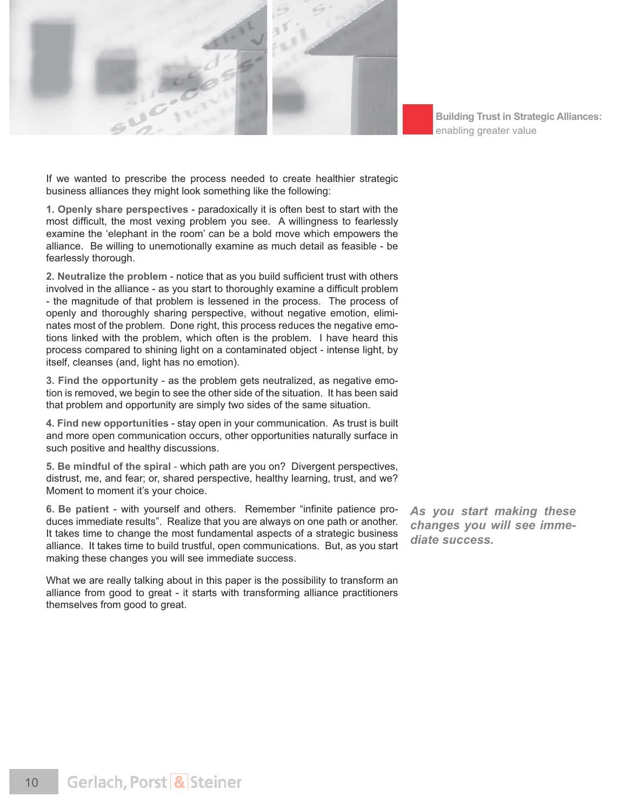

If we wanted to prescribe the process needed to create healthier strategic business alliances they might look something like the following:

**1. Openly share perspectives** - paradoxically it is often best to start with the most difficult, the most vexing problem you see. A willingness to fearlessly examine the 'elephant in the room' can be a bold move which empowers the alliance. Be willing to unemotionally examine as much detail as feasible - be fearlessly thorough.

**2. Neutralize the problem** - notice that as you build sufficient trust with others involved in the alliance - as you start to thoroughly examine a difficult problem - the magnitude of that problem is lessened in the process. The process of openly and thoroughly sharing perspective, without negative emotion, eliminates most of the problem. Done right, this process reduces the negative emotions linked with the problem, which often is the problem. I have heard this process compared to shining light on a contaminated object - intense light, by itself, cleanses (and, light has no emotion).

**3. Find the opportunity** - as the problem gets neutralized, as negative emotion is removed, we begin to see the other side of the situation. It has been said that problem and opportunity are simply two sides of the same situation.

**4. Find new opportunities** - stay open in your communication. As trust is built and more open communication occurs, other opportunities naturally surface in such positive and healthy discussions.

**5. Be mindful of the spiral** - which path are you on? Divergent perspectives, distrust, me, and fear; or, shared perspective, healthy learning, trust, and we? Moment to moment it's your choice.

6. Be patient - with yourself and others. Remember "infinite patience produces immediate results". Realize that you are always on one path or another. It takes time to change the most fundamental aspects of a strategic business alliance. It takes time to build trustful, open communications. But, as you start making these changes you will see immediate success.

What we are really talking about in this paper is the possibility to transform an alliance from good to great - it starts with transforming alliance practitioners themselves from good to great.

*As you start making these changes you will see immediate success.*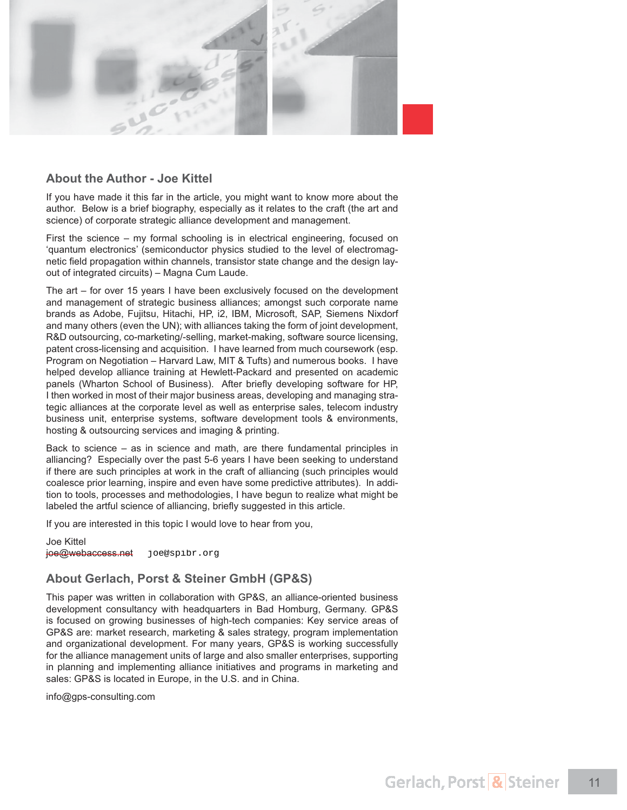

#### **About the Author - Joe Kittel**

If you have made it this far in the article, you might want to know more about the author. Below is a brief biography, especially as it relates to the craft (the art and science) of corporate strategic alliance development and management.

First the science – my formal schooling is in electrical engineering, focused on 'quantum electronics' (semiconductor physics studied to the level of electromagnetic field propagation within channels, transistor state change and the design layout of integrated circuits) – Magna Cum Laude.

The art – for over 15 years I have been exclusively focused on the development and management of strategic business alliances; amongst such corporate name brands as Adobe, Fujitsu, Hitachi, HP, i2, IBM, Microsoft, SAP, Siemens Nixdorf and many others (even the UN); with alliances taking the form of joint development, R&D outsourcing, co-marketing/-selling, market-making, software source licensing, patent cross-licensing and acquisition. I have learned from much coursework (esp. Program on Negotiation – Harvard Law, MIT & Tufts) and numerous books. I have helped develop alliance training at Hewlett-Packard and presented on academic panels (Wharton School of Business). After briefly developing software for HP, I then worked in most of their major business areas, developing and managing strategic alliances at the corporate level as well as enterprise sales, telecom industry business unit, enterprise systems, software development tools & environments, hosting & outsourcing services and imaging & printing.

Back to science – as in science and math, are there fundamental principles in alliancing? Especially over the past 5-6 years I have been seeking to understand if there are such principles at work in the craft of alliancing (such principles would coalesce prior learning, inspire and even have some predictive attributes). In addition to tools, processes and methodologies, I have begun to realize what might be labeled the artful science of alliancing, briefly suggested in this article.

If you are interested in this topic I would love to hear from you,

Joe Kittel joe@webaccess.net joe@spibr.org

### **About Gerlach, Porst & Steiner GmbH (GP&S)**

This paper was written in collaboration with GP&S, an alliance-oriented business development consultancy with headquarters in Bad Homburg, Germany. GP&S is focused on growing businesses of high-tech companies: Key service areas of GP&S are: market research, marketing & sales strategy, program implementation and organizational development. For many years, GP&S is working successfully for the alliance management units of large and also smaller enterprises, supporting in planning and implementing alliance initiatives and programs in marketing and sales: GP&S is located in Europe, in the U.S. and in China.

info@gps-consulting.com